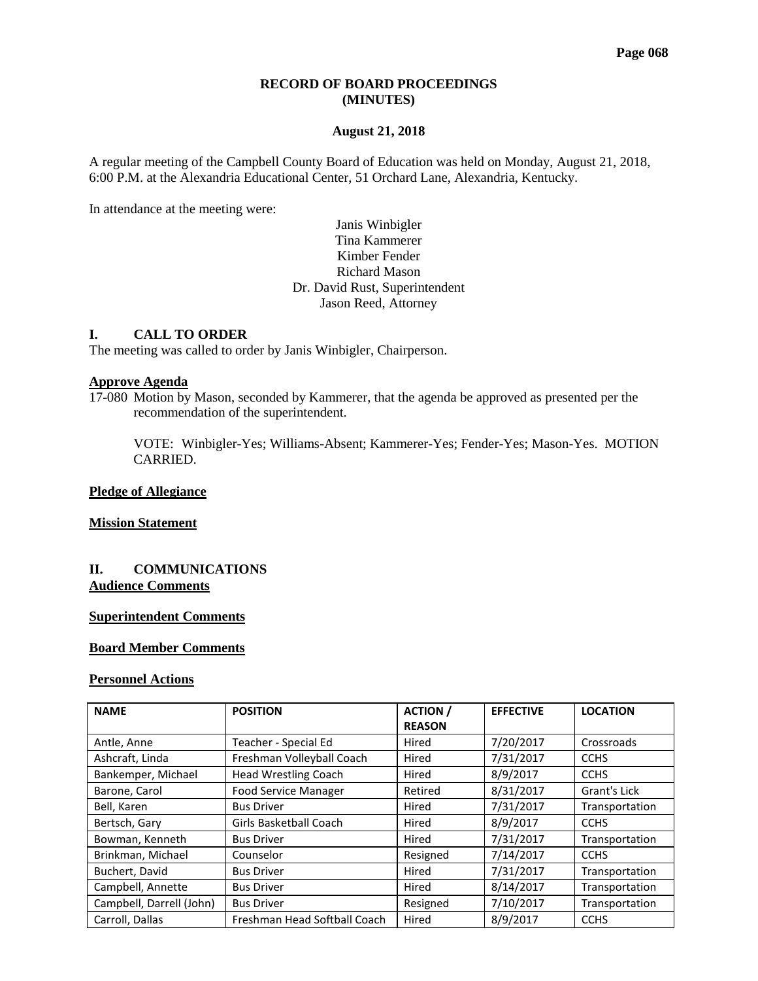#### **RECORD OF BOARD PROCEEDINGS (MINUTES)**

#### **August 21, 2018**

A regular meeting of the Campbell County Board of Education was held on Monday, August 21, 2018, 6:00 P.M. at the Alexandria Educational Center, 51 Orchard Lane, Alexandria, Kentucky.

In attendance at the meeting were:

#### Janis Winbigler Tina Kammerer Kimber Fender Richard Mason Dr. David Rust, Superintendent Jason Reed, Attorney

## **I. CALL TO ORDER**

The meeting was called to order by Janis Winbigler, Chairperson.

# **Approve Agenda**

17-080 Motion by Mason, seconded by Kammerer, that the agenda be approved as presented per the recommendation of the superintendent.

VOTE: Winbigler-Yes; Williams-Absent; Kammerer-Yes; Fender-Yes; Mason-Yes. MOTION CARRIED.

#### **Pledge of Allegiance**

**Mission Statement**

#### **II. COMMUNICATIONS Audience Comments**

#### **Superintendent Comments**

# **Board Member Comments**

#### **Personnel Actions**

| <b>NAME</b>              | <b>POSITION</b>                        | <b>ACTION</b> /<br><b>REASON</b> | <b>EFFECTIVE</b> | <b>LOCATION</b> |
|--------------------------|----------------------------------------|----------------------------------|------------------|-----------------|
| Antle, Anne              | Teacher - Special Ed                   | Hired                            | 7/20/2017        | Crossroads      |
| Ashcraft, Linda          | Freshman Volleyball Coach<br>Hired     |                                  | 7/31/2017        | <b>CCHS</b>     |
| Bankemper, Michael       | <b>Head Wrestling Coach</b><br>Hired   |                                  | 8/9/2017         | <b>CCHS</b>     |
| Barone, Carol            | <b>Food Service Manager</b><br>Retired |                                  | 8/31/2017        | Grant's Lick    |
| Bell, Karen              | <b>Bus Driver</b>                      | Hired                            | 7/31/2017        | Transportation  |
| Bertsch, Gary            | Girls Basketball Coach                 | Hired                            | 8/9/2017         | <b>CCHS</b>     |
| Bowman, Kenneth          | <b>Bus Driver</b>                      | Hired                            | 7/31/2017        | Transportation  |
| Brinkman, Michael        | Counselor                              | Resigned                         | 7/14/2017        | <b>CCHS</b>     |
| Buchert, David           | <b>Bus Driver</b>                      | Hired                            | 7/31/2017        | Transportation  |
| Campbell, Annette        | <b>Bus Driver</b>                      | Hired                            | 8/14/2017        | Transportation  |
| Campbell, Darrell (John) | <b>Bus Driver</b>                      | Resigned                         | 7/10/2017        | Transportation  |
| Carroll, Dallas          | Freshman Head Softball Coach           | Hired                            | 8/9/2017         | <b>CCHS</b>     |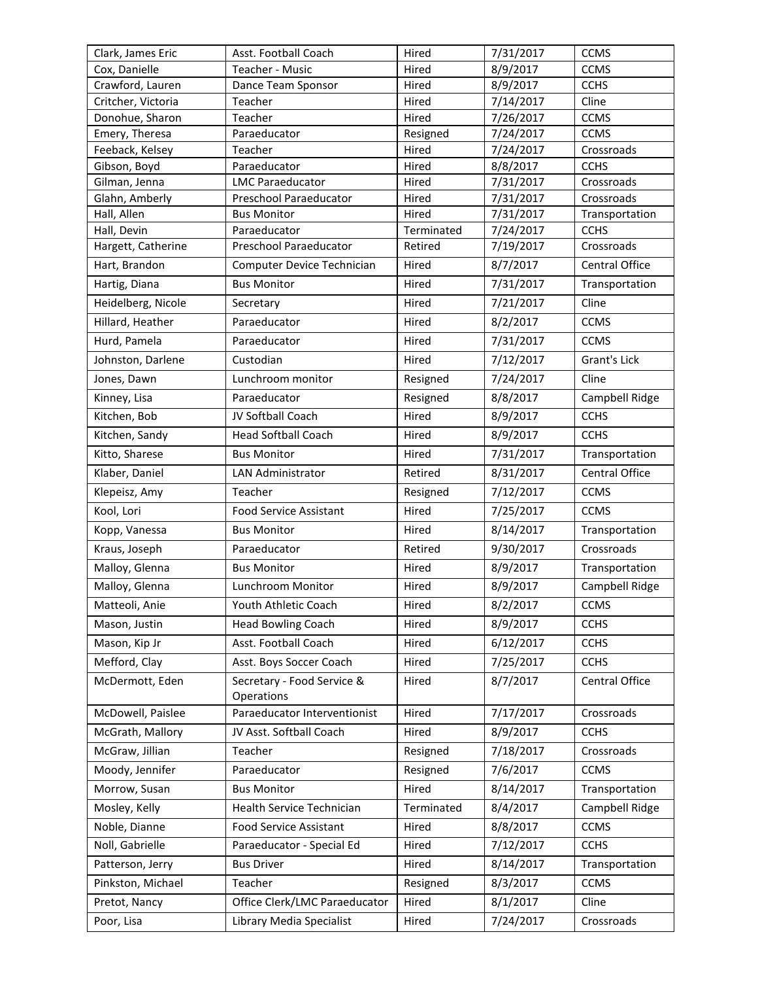| Clark, James Eric             | 7/31/2017<br>Asst. Football Coach<br>Hired                   |                    | <b>CCMS</b>               |                |
|-------------------------------|--------------------------------------------------------------|--------------------|---------------------------|----------------|
| Cox, Danielle                 | Teacher - Music<br>Hired<br>8/9/2017                         |                    | <b>CCMS</b>               |                |
| Crawford, Lauren              | 8/9/2017<br>Hired<br>Dance Team Sponsor                      |                    | <b>CCHS</b>               |                |
| Critcher, Victoria            | Teacher                                                      | Hired              | 7/14/2017                 | Cline          |
| Donohue, Sharon               | Teacher                                                      | Hired              | 7/26/2017                 | <b>CCMS</b>    |
| Emery, Theresa                | Paraeducator<br>Resigned<br>7/24/2017                        |                    | <b>CCMS</b>               |                |
| Feeback, Kelsey               | Teacher<br>Hired<br>7/24/2017                                |                    | Crossroads<br><b>CCHS</b> |                |
| Gibson, Boyd<br>Gilman, Jenna | Paraeducator<br><b>LMC Paraeducator</b>                      | Hired<br>Hired     | 8/8/2017<br>7/31/2017     | Crossroads     |
| Glahn, Amberly                | Preschool Paraeducator                                       | Hired              | 7/31/2017                 | Crossroads     |
| Hall, Allen                   | <b>Bus Monitor</b>                                           | Hired              | 7/31/2017                 | Transportation |
| Hall, Devin                   | Paraeducator                                                 | Terminated         | 7/24/2017                 | <b>CCHS</b>    |
| Hargett, Catherine            | Preschool Paraeducator                                       | Retired            | 7/19/2017                 | Crossroads     |
| Hart, Brandon                 | Computer Device Technician                                   | Hired              | 8/7/2017                  | Central Office |
| Hartig, Diana                 | <b>Bus Monitor</b>                                           | Hired              | 7/31/2017                 | Transportation |
| Heidelberg, Nicole            | Secretary                                                    | Hired              | 7/21/2017                 | Cline          |
| Hillard, Heather              | Paraeducator                                                 | Hired              | 8/2/2017                  | <b>CCMS</b>    |
| Hurd, Pamela                  | Paraeducator                                                 | Hired              | 7/31/2017                 | <b>CCMS</b>    |
| Johnston, Darlene             | Custodian                                                    | Hired              | 7/12/2017                 | Grant's Lick   |
| Jones, Dawn                   | Lunchroom monitor                                            | Resigned           | 7/24/2017                 | Cline          |
| Kinney, Lisa                  | Paraeducator                                                 | Resigned           | 8/8/2017                  | Campbell Ridge |
| Kitchen, Bob                  | JV Softball Coach                                            | Hired              | 8/9/2017                  | <b>CCHS</b>    |
| Kitchen, Sandy                | <b>Head Softball Coach</b>                                   | 8/9/2017<br>Hired  |                           | <b>CCHS</b>    |
| Kitto, Sharese                | <b>Bus Monitor</b>                                           | Hired              | 7/31/2017                 | Transportation |
| Klaber, Daniel                | LAN Administrator                                            | Retired            | 8/31/2017                 | Central Office |
| Klepeisz, Amy                 | Teacher                                                      | Resigned           | 7/12/2017                 | <b>CCMS</b>    |
| Kool, Lori                    | <b>Food Service Assistant</b>                                | Hired              | 7/25/2017                 | <b>CCMS</b>    |
| Kopp, Vanessa                 | <b>Bus Monitor</b>                                           | Hired<br>8/14/2017 |                           | Transportation |
| Kraus, Joseph                 | Paraeducator                                                 | Retired            | 9/30/2017                 | Crossroads     |
| Malloy, Glenna                | 8/9/2017<br><b>Bus Monitor</b><br>Hired                      |                    |                           | Transportation |
| Malloy, Glenna                | Lunchroom Monitor                                            | Hired              | 8/9/2017                  | Campbell Ridge |
| Matteoli, Anie                | Youth Athletic Coach                                         | Hired              | 8/2/2017                  | <b>CCMS</b>    |
| Mason, Justin                 | <b>Head Bowling Coach</b>                                    | Hired              | 8/9/2017                  | <b>CCHS</b>    |
| Mason, Kip Jr                 | Asst. Football Coach                                         | Hired              | 6/12/2017                 | <b>CCHS</b>    |
| Mefford, Clay                 | Asst. Boys Soccer Coach                                      | Hired              | 7/25/2017                 | <b>CCHS</b>    |
| McDermott, Eden               | Secretary - Food Service &                                   | Hired              | 8/7/2017                  | Central Office |
|                               | Operations                                                   |                    |                           |                |
| McDowell, Paislee             | 7/17/2017<br>Paraeducator Interventionist<br>Hired           |                    |                           | Crossroads     |
| McGrath, Mallory              | JV Asst. Softball Coach                                      | Hired              | 8/9/2017                  | <b>CCHS</b>    |
| McGraw, Jillian               | Teacher                                                      | Resigned           | 7/18/2017                 | Crossroads     |
| Moody, Jennifer               | Paraeducator                                                 | Resigned           | 7/6/2017                  | <b>CCMS</b>    |
| Morrow, Susan                 | <b>Bus Monitor</b>                                           | Hired              | 8/14/2017                 | Transportation |
| Mosley, Kelly                 | Health Service Technician                                    | Terminated         | 8/4/2017                  | Campbell Ridge |
| Noble, Dianne                 | <b>Food Service Assistant</b>                                | Hired              | 8/8/2017                  | <b>CCMS</b>    |
| Noll, Gabrielle               | Paraeducator - Special Ed                                    | Hired              | 7/12/2017                 | <b>CCHS</b>    |
| Patterson, Jerry              | <b>Bus Driver</b>                                            | Hired              | 8/14/2017                 | Transportation |
| Pinkston, Michael             | Teacher                                                      | Resigned           | 8/3/2017                  | <b>CCMS</b>    |
| Pretot, Nancy                 | Office Clerk/LMC Paraeducator                                | Hired              | 8/1/2017                  | Cline          |
| Poor, Lisa                    | 7/24/2017<br>Crossroads<br>Library Media Specialist<br>Hired |                    |                           |                |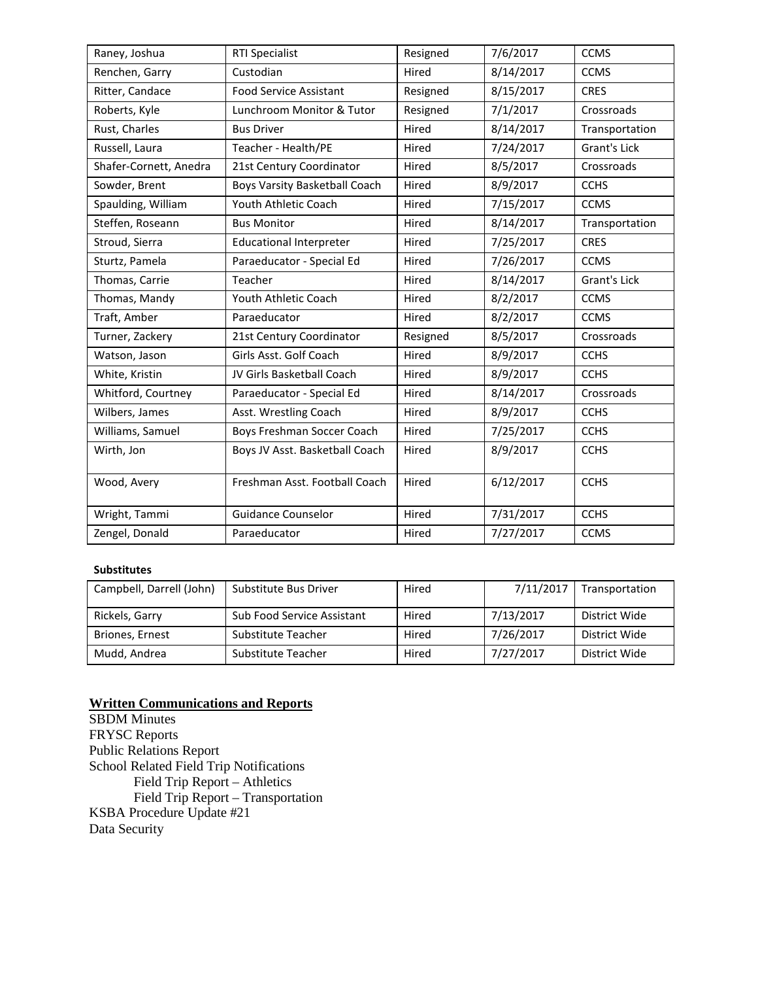| Raney, Joshua          | <b>RTI Specialist</b>          | Resigned           | 7/6/2017  | <b>CCMS</b>    |
|------------------------|--------------------------------|--------------------|-----------|----------------|
| Renchen, Garry         | Custodian                      | Hired              | 8/14/2017 | <b>CCMS</b>    |
| Ritter, Candace        | <b>Food Service Assistant</b>  | Resigned           | 8/15/2017 | <b>CRES</b>    |
| Roberts, Kyle          | Lunchroom Monitor & Tutor      | Resigned           | 7/1/2017  | Crossroads     |
| Rust, Charles          | <b>Bus Driver</b>              | 8/14/2017<br>Hired |           | Transportation |
| Russell, Laura         | Teacher - Health/PE            | Hired<br>7/24/2017 |           |                |
| Shafer-Cornett, Anedra | 21st Century Coordinator       | 8/5/2017<br>Hired  |           | Crossroads     |
| Sowder, Brent          | Boys Varsity Basketball Coach  | Hired              | 8/9/2017  | <b>CCHS</b>    |
| Spaulding, William     | Youth Athletic Coach           | Hired              | 7/15/2017 | <b>CCMS</b>    |
| Steffen, Roseann       | <b>Bus Monitor</b>             | Hired              | 8/14/2017 | Transportation |
| Stroud, Sierra         | <b>Educational Interpreter</b> | 7/25/2017<br>Hired |           | <b>CRES</b>    |
| Sturtz, Pamela         | Paraeducator - Special Ed      | Hired              | 7/26/2017 | <b>CCMS</b>    |
| Thomas, Carrie         | Teacher                        | 8/14/2017<br>Hired |           | Grant's Lick   |
| Thomas, Mandy          | Youth Athletic Coach           | Hired<br>8/2/2017  |           | <b>CCMS</b>    |
| Traft, Amber           | Paraeducator                   | 8/2/2017<br>Hired  |           | <b>CCMS</b>    |
| Turner, Zackery        | 21st Century Coordinator       | Resigned           | 8/5/2017  | Crossroads     |
| Watson, Jason          | Girls Asst. Golf Coach         | Hired              | 8/9/2017  | <b>CCHS</b>    |
| White, Kristin         | JV Girls Basketball Coach      | Hired              | 8/9/2017  | <b>CCHS</b>    |
| Whitford, Courtney     | Paraeducator - Special Ed      | Hired              | 8/14/2017 | Crossroads     |
| Wilbers, James         | Asst. Wrestling Coach          | Hired              | 8/9/2017  | <b>CCHS</b>    |
| Williams, Samuel       | Boys Freshman Soccer Coach     | Hired              | 7/25/2017 | <b>CCHS</b>    |
| Wirth, Jon             | Boys JV Asst. Basketball Coach | Hired              | 8/9/2017  | <b>CCHS</b>    |
| Wood, Avery            | Freshman Asst. Football Coach  | Hired<br>6/12/2017 |           | <b>CCHS</b>    |
| Wright, Tammi          | <b>Guidance Counselor</b>      | Hired              | 7/31/2017 | <b>CCHS</b>    |
| Zengel, Donald         | Paraeducator                   | Hired              | 7/27/2017 | <b>CCMS</b>    |

#### **Substitutes**

| Campbell, Darrell (John) | Substitute Bus Driver             | Hired | 7/11/2017 | Transportation |
|--------------------------|-----------------------------------|-------|-----------|----------------|
| Rickels, Garry           | <b>Sub Food Service Assistant</b> | Hired | 7/13/2017 | District Wide  |
| Briones, Ernest          | Substitute Teacher                | Hired | 7/26/2017 | District Wide  |
| Mudd, Andrea             | Substitute Teacher                | Hired | 7/27/2017 | District Wide  |

#### **Written Communications and Reports**

SBDM Minutes FRYSC Reports Public Relations Report School Related Field Trip Notifications Field Trip Report – Athletics Field Trip Report – Transportation KSBA Procedure Update #21 Data Security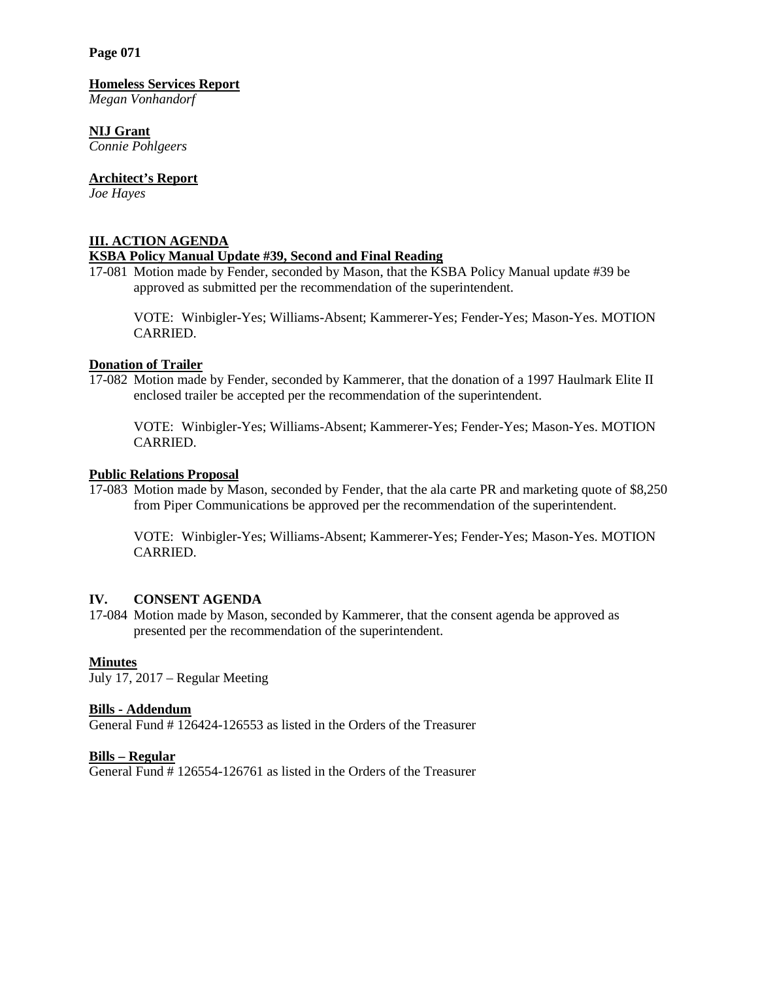**Page 071**

#### **Homeless Services Report**

*Megan Vonhandorf*

# **NIJ Grant**

*Connie Pohlgeers*

# **Architect's Report**

*Joe Hayes*

# **III. ACTION AGENDA**

# **KSBA Policy Manual Update #39, Second and Final Reading**

17-081 Motion made by Fender, seconded by Mason, that the  $\overline{KSBA}$  Policy Manual update #39 be approved as submitted per the recommendation of the superintendent.

VOTE: Winbigler-Yes; Williams-Absent; Kammerer-Yes; Fender-Yes; Mason-Yes. MOTION CARRIED.

## **Donation of Trailer**

17-082 Motion made by Fender, seconded by Kammerer, that the donation of a 1997 Haulmark Elite II enclosed trailer be accepted per the recommendation of the superintendent.

VOTE: Winbigler-Yes; Williams-Absent; Kammerer-Yes; Fender-Yes; Mason-Yes. MOTION CARRIED.

## **Public Relations Proposal**

17-083 Motion made by Mason, seconded by Fender, that the ala carte PR and marketing quote of \$8,250 from Piper Communications be approved per the recommendation of the superintendent.

VOTE: Winbigler-Yes; Williams-Absent; Kammerer-Yes; Fender-Yes; Mason-Yes. MOTION CARRIED.

## **IV. CONSENT AGENDA**

17-084 Motion made by Mason, seconded by Kammerer, that the consent agenda be approved as presented per the recommendation of the superintendent.

## **Minutes**

July 17, 2017 – Regular Meeting

## **Bills - Addendum**

General Fund # 126424-126553 as listed in the Orders of the Treasurer

## **Bills – Regular**

General Fund # 126554-126761 as listed in the Orders of the Treasurer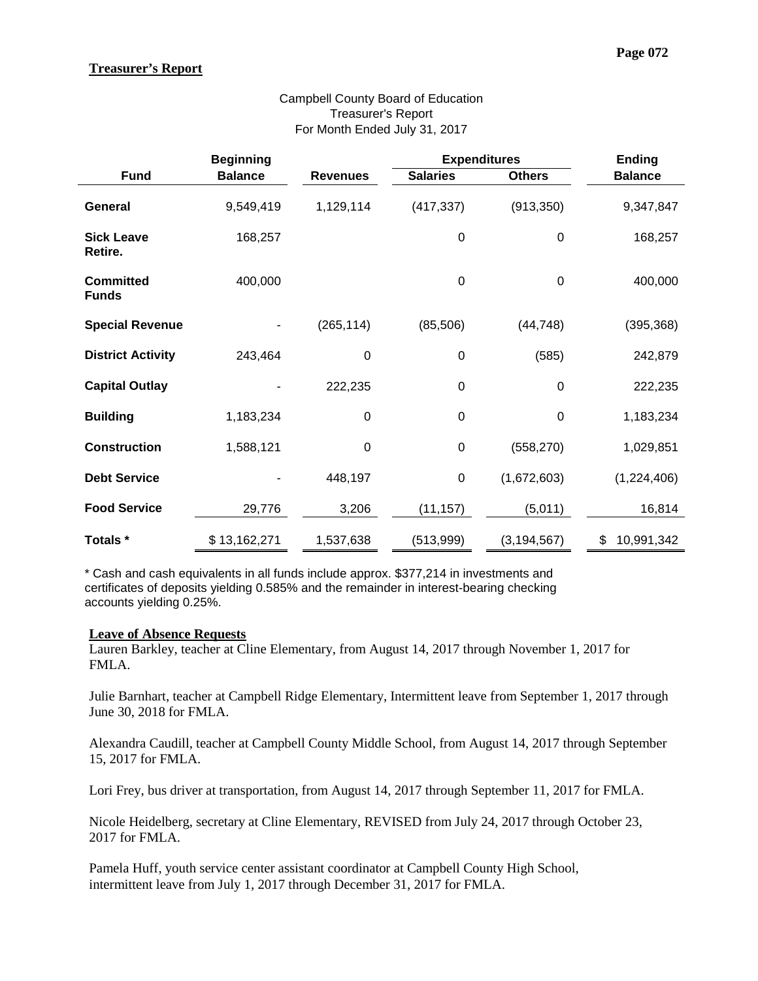# **Treasurer's Report**

|                                  | <b>Beginning</b> |                  | <b>Expenditures</b> |               | <b>Ending</b>    |
|----------------------------------|------------------|------------------|---------------------|---------------|------------------|
| <b>Fund</b>                      | <b>Balance</b>   | <b>Revenues</b>  | <b>Salaries</b>     | <b>Others</b> | <b>Balance</b>   |
| General                          | 9,549,419        | 1,129,114        | (417, 337)          | (913, 350)    | 9,347,847        |
| <b>Sick Leave</b><br>Retire.     | 168,257          |                  | $\pmb{0}$           | 0             | 168,257          |
| <b>Committed</b><br><b>Funds</b> | 400,000          |                  | $\mathbf 0$         | 0             | 400,000          |
| <b>Special Revenue</b>           |                  | (265, 114)       | (85,506)            | (44, 748)     | (395, 368)       |
| <b>District Activity</b>         | 243,464          | $\boldsymbol{0}$ | 0                   | (585)         | 242,879          |
| <b>Capital Outlay</b>            |                  | 222,235          | 0                   | 0             | 222,235          |
| <b>Building</b>                  | 1,183,234        | $\mathbf 0$      | $\mathbf 0$         | 0             | 1,183,234        |
| <b>Construction</b>              | 1,588,121        | $\boldsymbol{0}$ | $\pmb{0}$           | (558, 270)    | 1,029,851        |
| <b>Debt Service</b>              |                  | 448,197          | $\pmb{0}$           | (1,672,603)   | (1,224,406)      |
| <b>Food Service</b>              | 29,776           | 3,206            | (11, 157)           | (5,011)       | 16,814           |
| Totals *                         | \$13,162,271     | 1,537,638        | (513,999)           | (3, 194, 567) | \$<br>10,991,342 |

# Campbell County Board of Education Treasurer's Report For Month Ended July 31, 2017

\* Cash and cash equivalents in all funds include approx. \$377,214 in investments and certificates of deposits yielding 0.585% and the remainder in interest-bearing checking accounts yielding 0.25%.

## **Leave of Absence Requests**

Lauren Barkley, teacher at Cline Elementary, from August 14, 2017 through November 1, 2017 for FMLA.

Julie Barnhart, teacher at Campbell Ridge Elementary, Intermittent leave from September 1, 2017 through June 30, 2018 for FMLA.

Alexandra Caudill, teacher at Campbell County Middle School, from August 14, 2017 through September 15, 2017 for FMLA.

Lori Frey, bus driver at transportation, from August 14, 2017 through September 11, 2017 for FMLA.

Nicole Heidelberg, secretary at Cline Elementary, REVISED from July 24, 2017 through October 23, 2017 for FMLA.

Pamela Huff, youth service center assistant coordinator at Campbell County High School, intermittent leave from July 1, 2017 through December 31, 2017 for FMLA.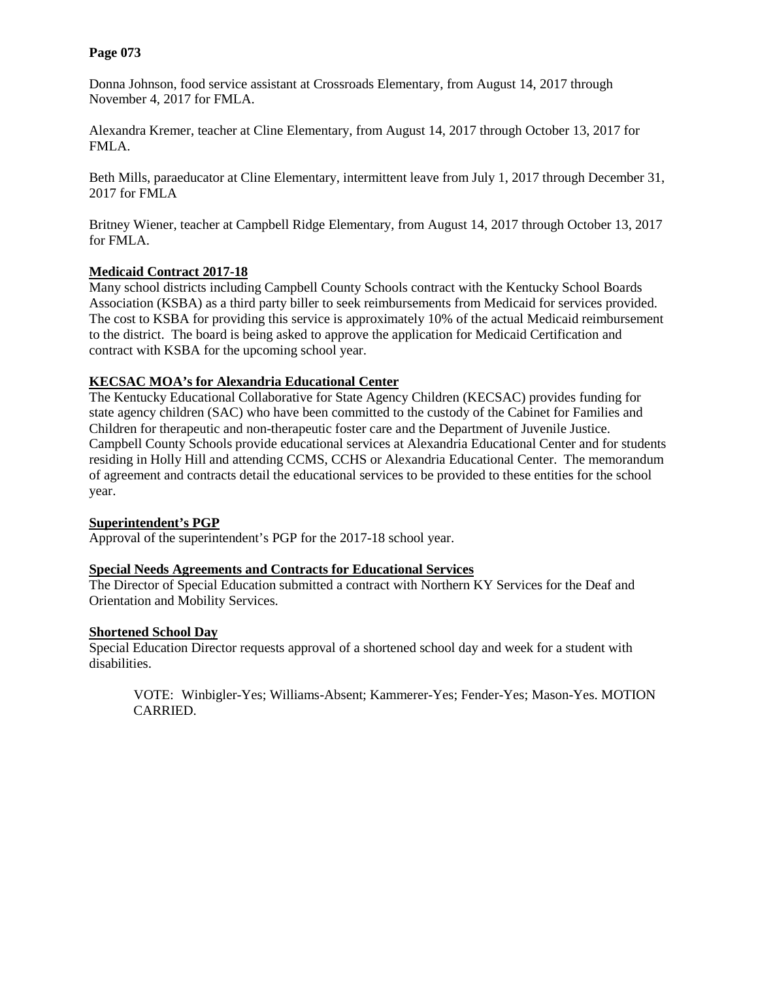## **Page 073**

Donna Johnson, food service assistant at Crossroads Elementary, from August 14, 2017 through November 4, 2017 for FMLA.

Alexandra Kremer, teacher at Cline Elementary, from August 14, 2017 through October 13, 2017 for FMLA.

Beth Mills, paraeducator at Cline Elementary, intermittent leave from July 1, 2017 through December 31, 2017 for FMLA

Britney Wiener, teacher at Campbell Ridge Elementary, from August 14, 2017 through October 13, 2017 for FMLA.

# **Medicaid Contract 2017-18**

Many school districts including Campbell County Schools contract with the Kentucky School Boards Association (KSBA) as a third party biller to seek reimbursements from Medicaid for services provided. The cost to KSBA for providing this service is approximately 10% of the actual Medicaid reimbursement to the district. The board is being asked to approve the application for Medicaid Certification and contract with KSBA for the upcoming school year.

# **KECSAC MOA's for Alexandria Educational Center**

The Kentucky Educational Collaborative for State Agency Children (KECSAC) provides funding for state agency children (SAC) who have been committed to the custody of the Cabinet for Families and Children for therapeutic and non-therapeutic foster care and the Department of Juvenile Justice. Campbell County Schools provide educational services at Alexandria Educational Center and for students residing in Holly Hill and attending CCMS, CCHS or Alexandria Educational Center. The memorandum of agreement and contracts detail the educational services to be provided to these entities for the school year.

## **Superintendent's PGP**

Approval of the superintendent's PGP for the 2017-18 school year.

## **Special Needs Agreements and Contracts for Educational Services**

The Director of Special Education submitted a contract with Northern KY Services for the Deaf and Orientation and Mobility Services.

## **Shortened School Day**

Special Education Director requests approval of a shortened school day and week for a student with disabilities.

VOTE: Winbigler-Yes; Williams-Absent; Kammerer-Yes; Fender-Yes; Mason-Yes. MOTION CARRIED.